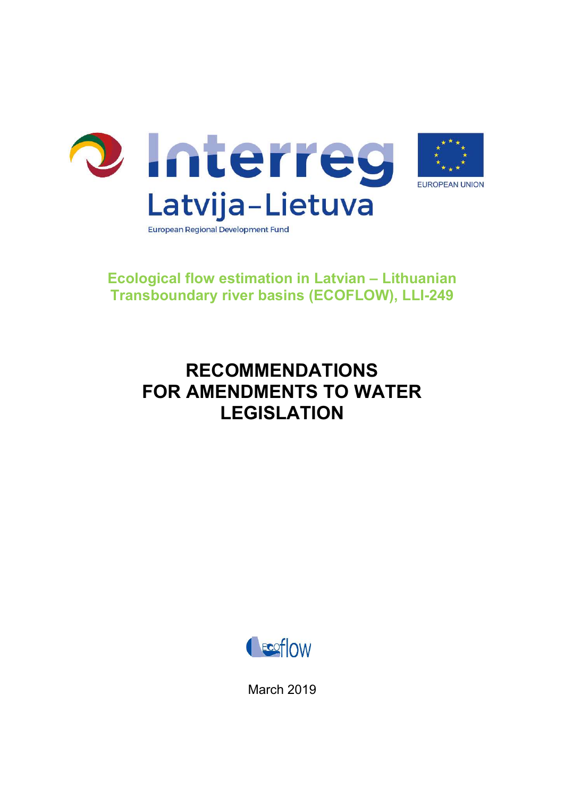

## Ecological flow estimation in Latvian – Lithuanian Transboundary river basins (ECOFLOW), LLI-249

# RECOMMENDATIONS FOR AMENDMENTS TO WATER LEGISLATION



March 2019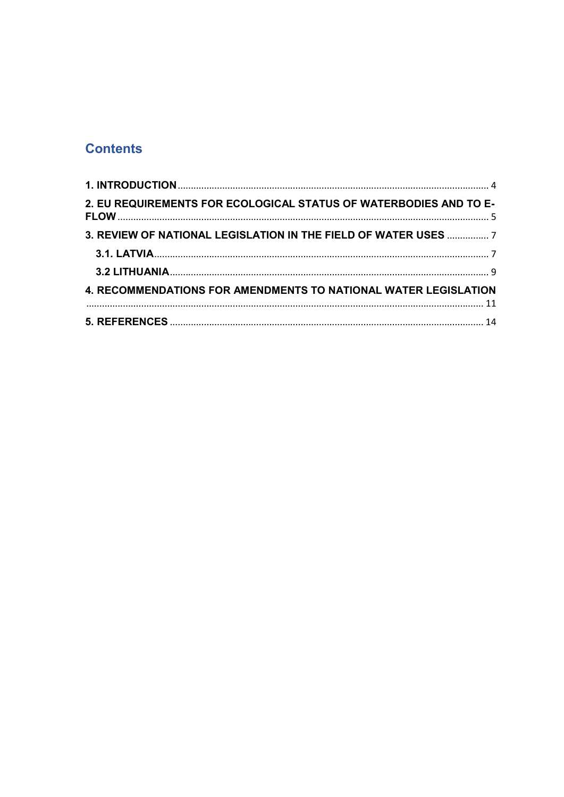## **Contents**

| 2. EU REQUIREMENTS FOR ECOLOGICAL STATUS OF WATERBODIES AND TO E- |  |
|-------------------------------------------------------------------|--|
| 3. REVIEW OF NATIONAL LEGISLATION IN THE FIELD OF WATER USES  7   |  |
|                                                                   |  |
|                                                                   |  |
| 4. RECOMMENDATIONS FOR AMENDMENTS TO NATIONAL WATER LEGISLATION   |  |
|                                                                   |  |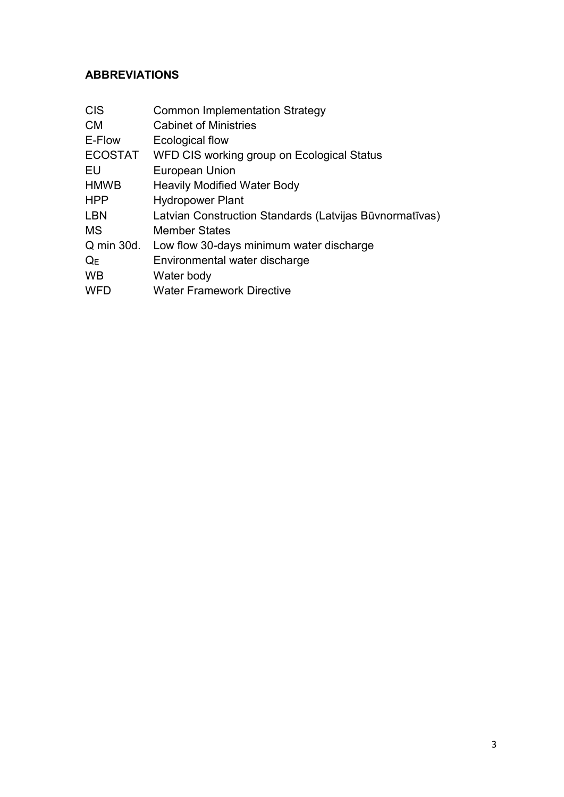### ABBREVIATIONS

| <b>Common Implementation Strategy</b>                   |
|---------------------------------------------------------|
| <b>Cabinet of Ministries</b>                            |
| Ecological flow                                         |
| WFD CIS working group on Ecological Status              |
| <b>European Union</b>                                   |
| <b>Heavily Modified Water Body</b>                      |
| <b>Hydropower Plant</b>                                 |
| Latvian Construction Standards (Latvijas Būvnormatīvas) |
| <b>Member States</b>                                    |
| Low flow 30-days minimum water discharge                |
| Environmental water discharge                           |
| Water body                                              |
| <b>Water Framework Directive</b>                        |
|                                                         |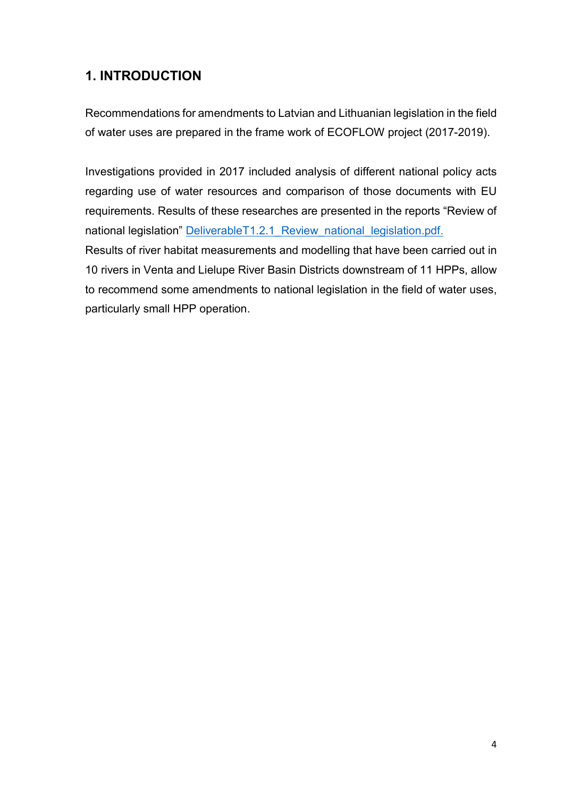## 1. INTRODUCTION

Recommendations for amendments to Latvian and Lithuanian legislation in the field of water uses are prepared in the frame work of ECOFLOW project (2017-2019).

Investigations provided in 2017 included analysis of different national policy acts regarding use of water resources and comparison of those documents with EU requirements. Results of these researches are presented in the reports "Review of national legislation" DeliverableT1.2.1 Review national legislation.pdf. Results of river habitat measurements and modelling that have been carried out in 10 rivers in Venta and Lielupe River Basin Districts downstream of 11 HPPs, allow

to recommend some amendments to national legislation in the field of water uses, particularly small HPP operation.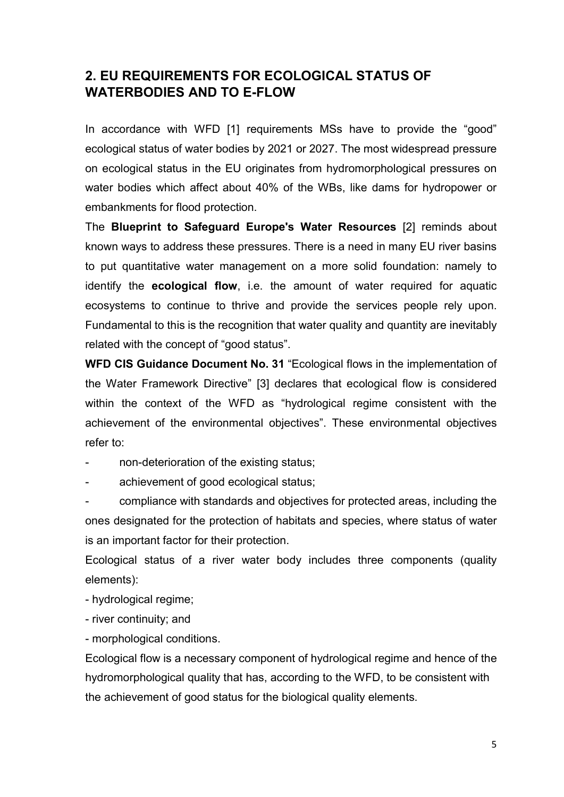### 2. EU REQUIREMENTS FOR ECOLOGICAL STATUS OF WATERBODIES AND TO E-FLOW

In accordance with WFD [1] requirements MSs have to provide the "good" ecological status of water bodies by 2021 or 2027. The most widespread pressure on ecological status in the EU originates from hydromorphological pressures on water bodies which affect about 40% of the WBs, like dams for hydropower or embankments for flood protection.

The Blueprint to Safeguard Europe's Water Resources [2] reminds about known ways to address these pressures. There is a need in many EU river basins to put quantitative water management on a more solid foundation: namely to identify the **ecological flow**, i.e. the amount of water required for aquatic ecosystems to continue to thrive and provide the services people rely upon. Fundamental to this is the recognition that water quality and quantity are inevitably related with the concept of "good status".

WFD CIS Guidance Document No. 31 "Ecological flows in the implementation of the Water Framework Directive" [3] declares that ecological flow is considered within the context of the WFD as "hydrological regime consistent with the achievement of the environmental objectives". These environmental objectives refer to:

non-deterioration of the existing status;

achievement of good ecological status;

- compliance with standards and objectives for protected areas, including the ones designated for the protection of habitats and species, where status of water is an important factor for their protection.

Ecological status of a river water body includes three components (quality elements):

- hydrological regime;

- river continuity; and

- morphological conditions.

Ecological flow is a necessary component of hydrological regime and hence of the hydromorphological quality that has, according to the WFD, to be consistent with the achievement of good status for the biological quality elements.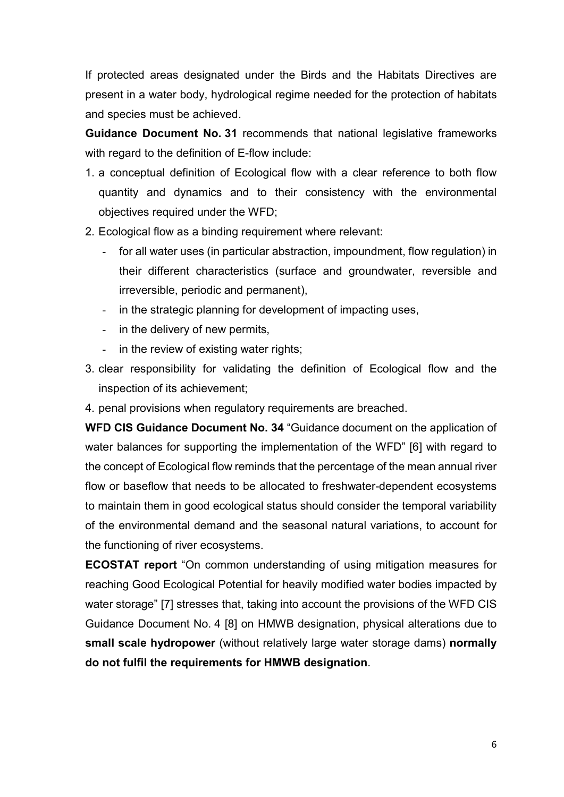If protected areas designated under the Birds and the Habitats Directives are present in a water body, hydrological regime needed for the protection of habitats and species must be achieved.

Guidance Document No. 31 recommends that national legislative frameworks with regard to the definition of E-flow include:

- 1. a conceptual definition of Ecological flow with a clear reference to both flow quantity and dynamics and to their consistency with the environmental objectives required under the WFD;
- 2. Ecological flow as a binding requirement where relevant:
	- for all water uses (in particular abstraction, impoundment, flow regulation) in their different characteristics (surface and groundwater, reversible and irreversible, periodic and permanent),
	- in the strategic planning for development of impacting uses.
	- in the delivery of new permits,
	- in the review of existing water rights;
- 3. clear responsibility for validating the definition of Ecological flow and the inspection of its achievement;
- 4. penal provisions when regulatory requirements are breached.

WFD CIS Guidance Document No. 34 "Guidance document on the application of water balances for supporting the implementation of the WFD" [6] with regard to the concept of Ecological flow reminds that the percentage of the mean annual river flow or baseflow that needs to be allocated to freshwater-dependent ecosystems to maintain them in good ecological status should consider the temporal variability of the environmental demand and the seasonal natural variations, to account for the functioning of river ecosystems.

ECOSTAT report "On common understanding of using mitigation measures for reaching Good Ecological Potential for heavily modified water bodies impacted by water storage" [7] stresses that, taking into account the provisions of the WFD CIS Guidance Document No. 4 [8] on HMWB designation, physical alterations due to small scale hydropower (without relatively large water storage dams) normally do not fulfil the requirements for HMWB designation.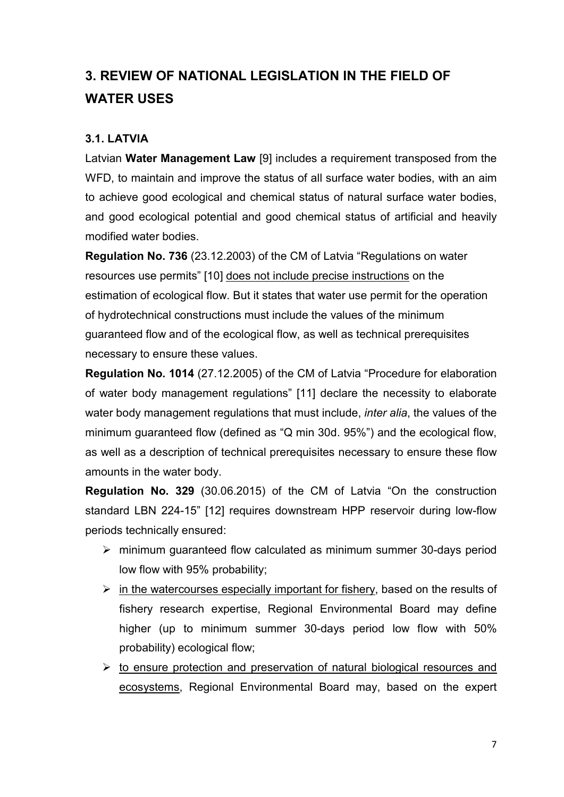## 3. REVIEW OF NATIONAL LEGISLATION IN THE FIELD OF WATER USES

#### 3.1. LATVIA

Latvian Water Management Law [9] includes a requirement transposed from the WFD, to maintain and improve the status of all surface water bodies, with an aim to achieve good ecological and chemical status of natural surface water bodies, and good ecological potential and good chemical status of artificial and heavily modified water bodies.

Regulation No. 736 (23.12.2003) of the CM of Latvia "Regulations on water resources use permits" [10] does not include precise instructions on the estimation of ecological flow. But it states that water use permit for the operation of hydrotechnical constructions must include the values of the minimum guaranteed flow and of the ecological flow, as well as technical prerequisites necessary to ensure these values.

Regulation No. 1014 (27.12.2005) of the CM of Latvia "Procedure for elaboration of water body management regulations" [11] declare the necessity to elaborate water body management regulations that must include, *inter alia*, the values of the minimum guaranteed flow (defined as "Q min 30d. 95%") and the ecological flow, as well as a description of technical prerequisites necessary to ensure these flow amounts in the water body.

Regulation No. 329 (30.06.2015) of the CM of Latvia "On the construction standard LBN 224-15" [12] requires downstream HPP reservoir during low-flow periods technically ensured:

- $\triangleright$  minimum guaranteed flow calculated as minimum summer 30-days period low flow with 95% probability;
- $\triangleright$  in the watercourses especially important for fishery, based on the results of fishery research expertise, Regional Environmental Board may define higher (up to minimum summer 30-days period low flow with 50% probability) ecological flow;
- $\triangleright$  to ensure protection and preservation of natural biological resources and ecosystems, Regional Environmental Board may, based on the expert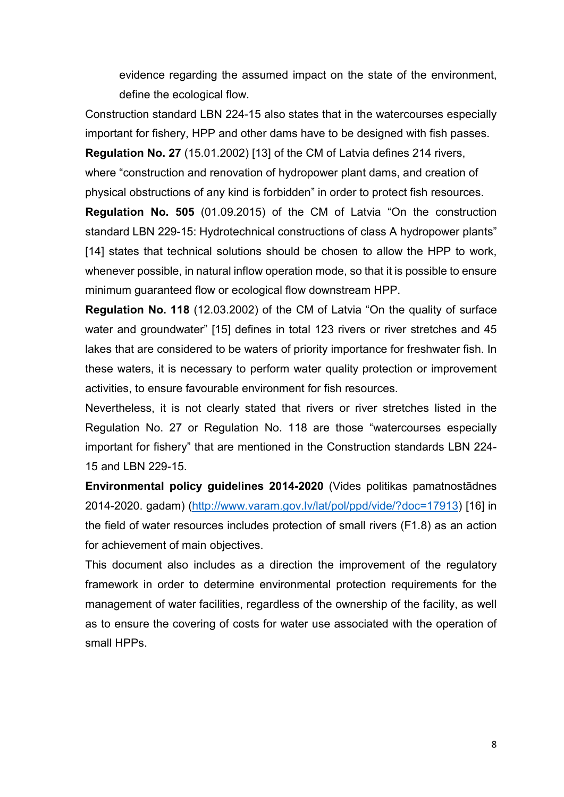evidence regarding the assumed impact on the state of the environment, define the ecological flow.

Construction standard LBN 224-15 also states that in the watercourses especially important for fishery, HPP and other dams have to be designed with fish passes.

Regulation No. 27 (15.01.2002) [13] of the CM of Latvia defines 214 rivers, where "construction and renovation of hydropower plant dams, and creation of

physical obstructions of any kind is forbidden" in order to protect fish resources.

Regulation No. 505 (01.09.2015) of the CM of Latvia "On the construction standard LBN 229-15: Hydrotechnical constructions of class A hydropower plants" [14] states that technical solutions should be chosen to allow the HPP to work, whenever possible, in natural inflow operation mode, so that it is possible to ensure minimum guaranteed flow or ecological flow downstream HPP.

Regulation No. 118 (12.03.2002) of the CM of Latvia "On the quality of surface water and groundwater" [15] defines in total 123 rivers or river stretches and 45 lakes that are considered to be waters of priority importance for freshwater fish. In these waters, it is necessary to perform water quality protection or improvement activities, to ensure favourable environment for fish resources.

Nevertheless, it is not clearly stated that rivers or river stretches listed in the Regulation No. 27 or Regulation No. 118 are those "watercourses especially important for fishery" that are mentioned in the Construction standards LBN 224- 15 and LBN 229-15.

Environmental policy guidelines 2014-2020 (Vides politikas pamatnostādnes 2014-2020. gadam) (http://www.varam.gov.lv/lat/pol/ppd/vide/?doc=17913) [16] in the field of water resources includes protection of small rivers (F1.8) as an action for achievement of main objectives.

This document also includes as a direction the improvement of the regulatory framework in order to determine environmental protection requirements for the management of water facilities, regardless of the ownership of the facility, as well as to ensure the covering of costs for water use associated with the operation of small HPPs.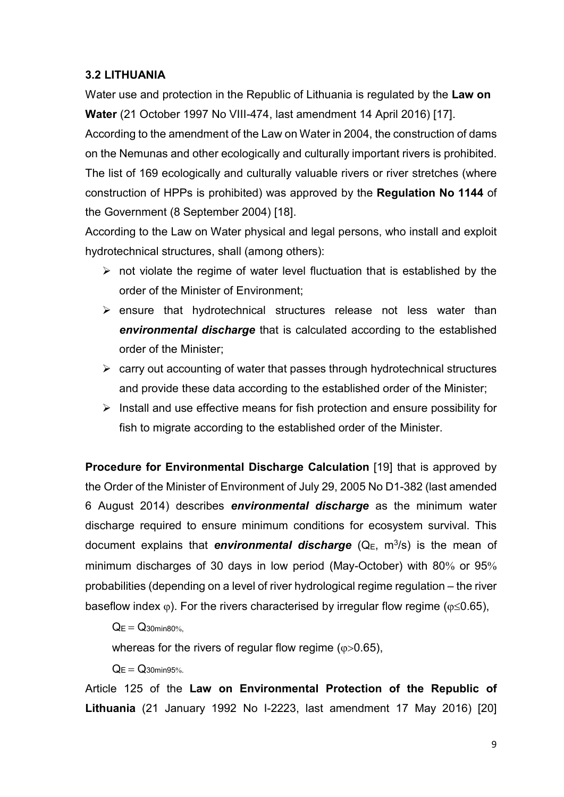#### 3.2 LITHUANIA

Water use and protection in the Republic of Lithuania is regulated by the Law on Water (21 October 1997 No VIII-474, last amendment 14 April 2016) [17].

According to the amendment of the Law on Water in 2004, the construction of dams on the Nemunas and other ecologically and culturally important rivers is prohibited. The list of 169 ecologically and culturally valuable rivers or river stretches (where construction of HPPs is prohibited) was approved by the Regulation No 1144 of the Government (8 September 2004) [18].

According to the Law on Water physical and legal persons, who install and exploit hydrotechnical structures, shall (among others):

- $\triangleright$  not violate the regime of water level fluctuation that is established by the order of the Minister of Environment;
- $\triangleright$  ensure that hydrotechnical structures release not less water than environmental discharge that is calculated according to the established order of the Minister;
- $\triangleright$  carry out accounting of water that passes through hydrotechnical structures and provide these data according to the established order of the Minister;
- $\triangleright$  Install and use effective means for fish protection and ensure possibility for fish to migrate according to the established order of the Minister.

Procedure for Environmental Discharge Calculation [19] that is approved by the Order of the Minister of Environment of July 29, 2005 No D1-382 (last amended 6 August 2014) describes environmental discharge as the minimum water discharge required to ensure minimum conditions for ecosystem survival. This document explains that environmental discharge ( $Q_E$ , m<sup>3</sup>/s) is the mean of minimum discharges of 30 days in low period (May-October) with 80% or  $95\%$ probabilities (depending on a level of river hydrological regime regulation – the river baseflow index  $\varphi$ ). For the rivers characterised by irregular flow regime ( $\varphi \leq 0.65$ ),

 $Q_E = Q_{30}$ min80%.

whereas for the rivers of regular flow regime ( $\varphi$ >0.65),

 $Q_F = Q_{30}$ min $95%$ 

Article 125 of the Law on Environmental Protection of the Republic of Lithuania (21 January 1992 No I-2223, last amendment 17 May 2016) [20]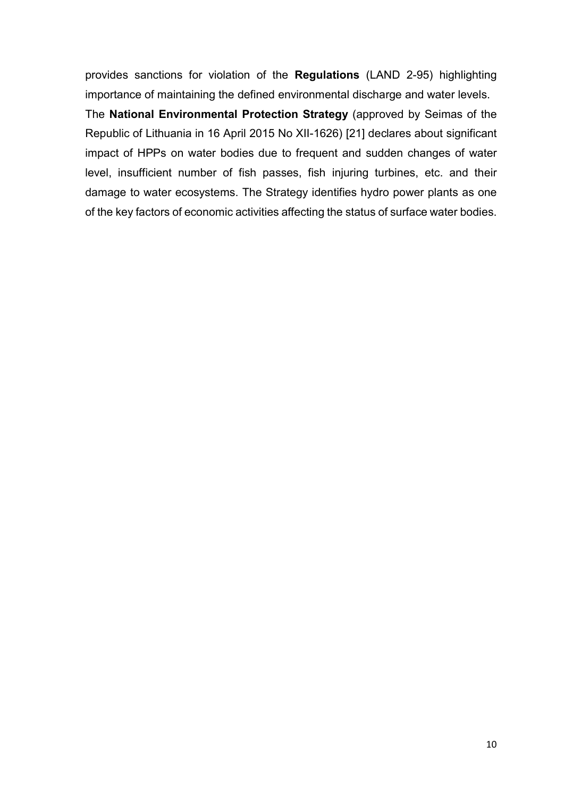provides sanctions for violation of the Regulations (LAND 2-95) highlighting importance of maintaining the defined environmental discharge and water levels.

The National Environmental Protection Strategy (approved by Seimas of the Republic of Lithuania in 16 April 2015 No XII-1626) [21] declares about significant impact of HPPs on water bodies due to frequent and sudden changes of water level, insufficient number of fish passes, fish injuring turbines, etc. and their damage to water ecosystems. The Strategy identifies hydro power plants as one of the key factors of economic activities affecting the status of surface water bodies.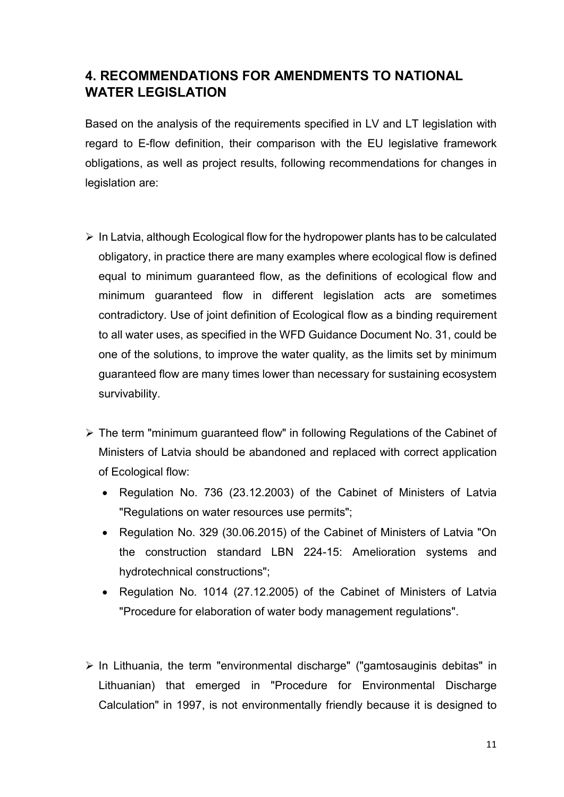## 4. RECOMMENDATIONS FOR AMENDMENTS TO NATIONAL WATER LEGISLATION

Based on the analysis of the requirements specified in LV and LT legislation with regard to E-flow definition, their comparison with the EU legislative framework obligations, as well as project results, following recommendations for changes in legislation are:

- $\triangleright$  In Latvia, although Ecological flow for the hydropower plants has to be calculated obligatory, in practice there are many examples where ecological flow is defined equal to minimum guaranteed flow, as the definitions of ecological flow and minimum guaranteed flow in different legislation acts are sometimes contradictory. Use of joint definition of Ecological flow as a binding requirement to all water uses, as specified in the WFD Guidance Document No. 31, could be one of the solutions, to improve the water quality, as the limits set by minimum guaranteed flow are many times lower than necessary for sustaining ecosystem survivability.
- The term "minimum guaranteed flow" in following Regulations of the Cabinet of Ministers of Latvia should be abandoned and replaced with correct application of Ecological flow:
	- Regulation No. 736 (23.12.2003) of the Cabinet of Ministers of Latvia "Regulations on water resources use permits";
	- Regulation No. 329 (30.06.2015) of the Cabinet of Ministers of Latvia "On the construction standard LBN 224-15: Amelioration systems and hydrotechnical constructions";
	- Regulation No. 1014 (27.12.2005) of the Cabinet of Ministers of Latvia "Procedure for elaboration of water body management regulations".
- $\triangleright$  In Lithuania, the term "environmental discharge" ("gamtosauginis debitas" in Lithuanian) that emerged in "Procedure for Environmental Discharge Calculation" in 1997, is not environmentally friendly because it is designed to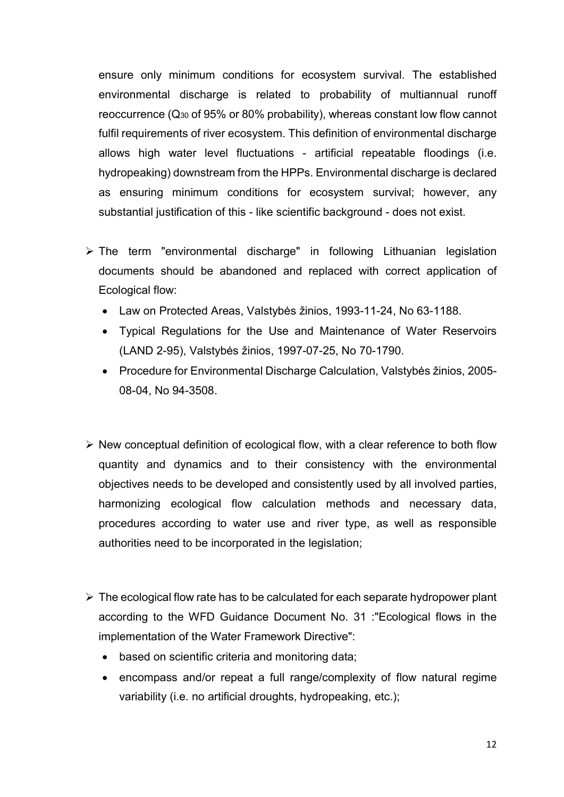ensure only minimum conditions for ecosystem survival. The established environmental discharge is related to probability of multiannual runoff reoccurrence (Q30 of 95% or 80% probability), whereas constant low flow cannot fulfil requirements of river ecosystem. This definition of environmental discharge allows high water level fluctuations - artificial repeatable floodings (i.e. hydropeaking) downstream from the HPPs. Environmental discharge is declared as ensuring minimum conditions for ecosystem survival; however, any substantial justification of this - like scientific background - does not exist.

- The term "environmental discharge" in following Lithuanian legislation documents should be abandoned and replaced with correct application of Ecological flow:
	- Law on Protected Areas, Valstybės žinios, 1993-11-24, No 63-1188.
	- Typical Regulations for the Use and Maintenance of Water Reservoirs (LAND 2-95), Valstybės žinios, 1997-07-25, No 70-1790.
	- Procedure for Environmental Discharge Calculation, Valstybės žinios, 2005- 08-04, No 94-3508.
- $\triangleright$  New conceptual definition of ecological flow, with a clear reference to both flow quantity and dynamics and to their consistency with the environmental objectives needs to be developed and consistently used by all involved parties, harmonizing ecological flow calculation methods and necessary data, procedures according to water use and river type, as well as responsible authorities need to be incorporated in the legislation;
- $\triangleright$  The ecological flow rate has to be calculated for each separate hydropower plant according to the WFD Guidance Document No. 31 :"Ecological flows in the implementation of the Water Framework Directive":
	- based on scientific criteria and monitoring data;
	- encompass and/or repeat a full range/complexity of flow natural regime variability (i.e. no artificial droughts, hydropeaking, etc.);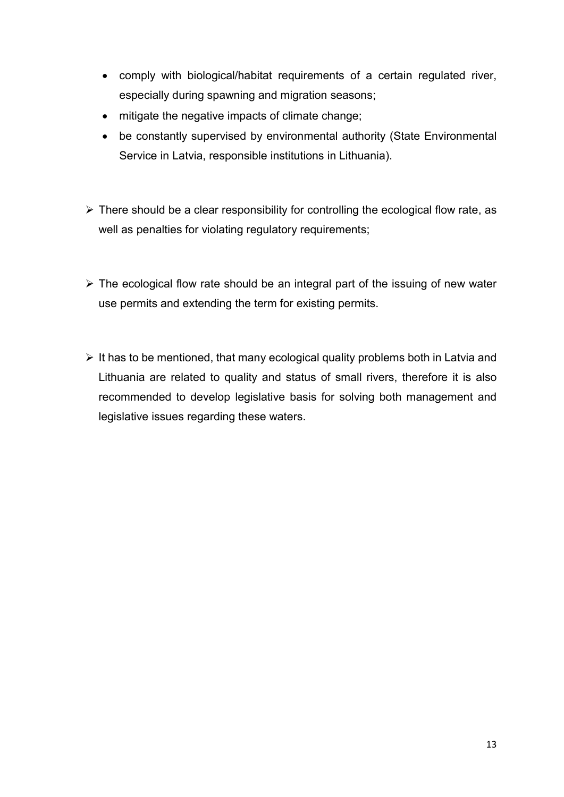- comply with biological/habitat requirements of a certain regulated river, especially during spawning and migration seasons;
- mitigate the negative impacts of climate change;
- be constantly supervised by environmental authority (State Environmental Service in Latvia, responsible institutions in Lithuania).
- $\triangleright$  There should be a clear responsibility for controlling the ecological flow rate, as well as penalties for violating regulatory requirements;
- $\triangleright$  The ecological flow rate should be an integral part of the issuing of new water use permits and extending the term for existing permits.
- $\triangleright$  It has to be mentioned, that many ecological quality problems both in Latvia and Lithuania are related to quality and status of small rivers, therefore it is also recommended to develop legislative basis for solving both management and legislative issues regarding these waters.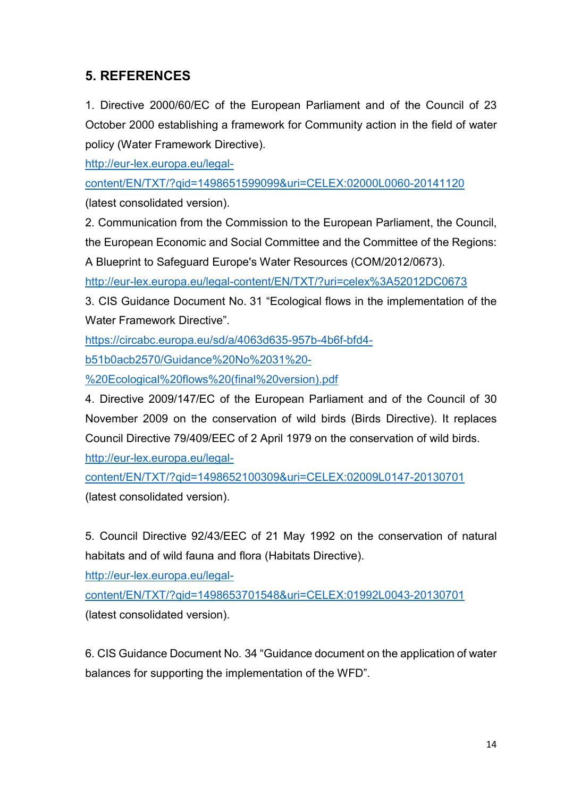## 5. REFERENCES

1. Directive 2000/60/EC of the European Parliament and of the Council of 23 October 2000 establishing a framework for Community action in the field of water policy (Water Framework Directive).

http://eur-lex.europa.eu/legal-

content/EN/TXT/?qid=1498651599099&uri=CELEX:02000L0060-20141120

(latest consolidated version).

2. Communication from the Commission to the European Parliament, the Council,

the European Economic and Social Committee and the Committee of the Regions:

A Blueprint to Safeguard Europe's Water Resources (COM/2012/0673).

http://eur-lex.europa.eu/legal-content/EN/TXT/?uri=celex%3A52012DC0673

3. CIS Guidance Document No. 31 "Ecological flows in the implementation of the Water Framework Directive".

https://circabc.europa.eu/sd/a/4063d635-957b-4b6f-bfd4-

b51b0acb2570/Guidance%20No%2031%20-

%20Ecological%20flows%20(final%20version).pdf

4. Directive 2009/147/EC of the European Parliament and of the Council of 30 November 2009 on the conservation of wild birds (Birds Directive). It replaces Council Directive 79/409/EEC of 2 April 1979 on the conservation of wild birds.

http://eur-lex.europa.eu/legal-

content/EN/TXT/?qid=1498652100309&uri=CELEX:02009L0147-20130701 (latest consolidated version).

5. Council Directive 92/43/EEC of 21 May 1992 on the conservation of natural habitats and of wild fauna and flora (Habitats Directive).

http://eur-lex.europa.eu/legal-

content/EN/TXT/?qid=1498653701548&uri=CELEX:01992L0043-20130701 (latest consolidated version).

6. CIS Guidance Document No. 34 "Guidance document on the application of water balances for supporting the implementation of the WFD".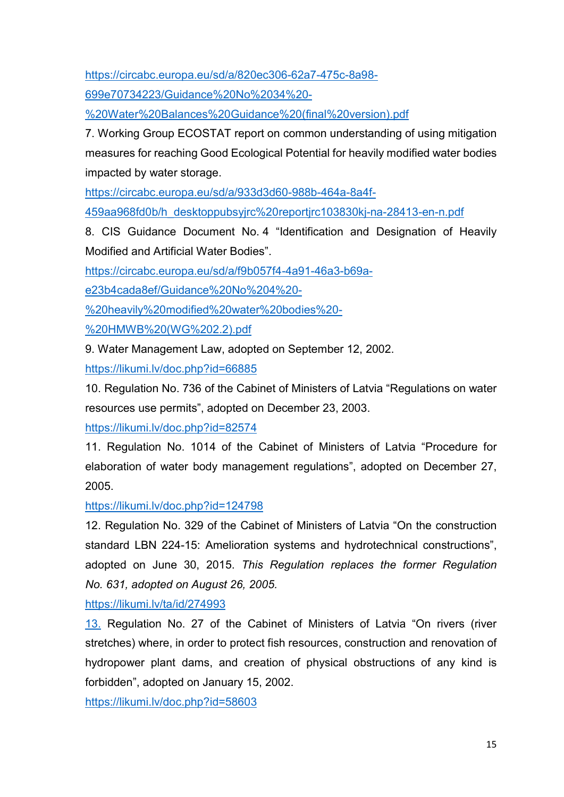https://circabc.europa.eu/sd/a/820ec306-62a7-475c-8a98-

699e70734223/Guidance%20No%2034%20-

%20Water%20Balances%20Guidance%20(final%20version).pdf

7. Working Group ECOSTAT report on common understanding of using mitigation measures for reaching Good Ecological Potential for heavily modified water bodies impacted by water storage.

https://circabc.europa.eu/sd/a/933d3d60-988b-464a-8a4f-

459aa968fd0b/h\_desktoppubsyjrc%20reportjrc103830kj-na-28413-en-n.pdf

8. CIS Guidance Document No. 4 "Identification and Designation of Heavily Modified and Artificial Water Bodies".

https://circabc.europa.eu/sd/a/f9b057f4-4a91-46a3-b69a-

e23b4cada8ef/Guidance%20No%204%20-

%20heavily%20modified%20water%20bodies%20-

%20HMWB%20(WG%202.2).pdf

9. Water Management Law, adopted on September 12, 2002.

https://likumi.lv/doc.php?id=66885

10. Regulation No. 736 of the Cabinet of Ministers of Latvia "Regulations on water resources use permits", adopted on December 23, 2003.

https://likumi.lv/doc.php?id=82574

11. Regulation No. 1014 of the Cabinet of Ministers of Latvia "Procedure for elaboration of water body management regulations", adopted on December 27, 2005.

https://likumi.lv/doc.php?id=124798

12. Regulation No. 329 of the Cabinet of Ministers of Latvia "On the construction standard LBN 224-15: Amelioration systems and hydrotechnical constructions", adopted on June 30, 2015. This Regulation replaces the former Regulation No. 631, adopted on August 26, 2005.

https://likumi.lv/ta/id/274993

13. Regulation No. 27 of the Cabinet of Ministers of Latvia "On rivers (river stretches) where, in order to protect fish resources, construction and renovation of hydropower plant dams, and creation of physical obstructions of any kind is forbidden", adopted on January 15, 2002.

https://likumi.lv/doc.php?id=58603